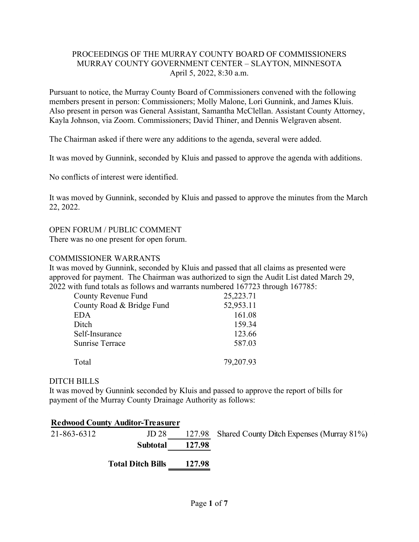#### PROCEEDINGS OF THE MURRAY COUNTY BOARD OF COMMISSIONERS MURRAY COUNTY GOVERNMENT CENTER – SLAYTON, MINNESOTA April 5, 2022, 8:30 a.m.

Pursuant to notice, the Murray County Board of Commissioners convened with the following members present in person: Commissioners; Molly Malone, Lori Gunnink, and James Kluis. Also present in person was General Assistant, Samantha McClellan. Assistant County Attorney, Kayla Johnson, via Zoom. Commissioners; David Thiner, and Dennis Welgraven absent.

The Chairman asked if there were any additions to the agenda, several were added.

It was moved by Gunnink, seconded by Kluis and passed to approve the agenda with additions.

No conflicts of interest were identified.

It was moved by Gunnink, seconded by Kluis and passed to approve the minutes from the March 22, 2022.

## OPEN FORUM / PUBLIC COMMENT

There was no one present for open forum.

## COMMISSIONER WARRANTS

It was moved by Gunnink, seconded by Kluis and passed that all claims as presented were approved for payment. The Chairman was authorized to sign the Audit List dated March 29, 2022 with fund totals as follows and warrants numbered 167723 through 167785:

| <b>County Revenue Fund</b> | 25,223.71 |
|----------------------------|-----------|
| County Road & Bridge Fund  | 52,953.11 |
| <b>EDA</b>                 | 161.08    |
| Ditch                      | 159.34    |
| Self-Insurance             | 123.66    |
| <b>Sunrise Terrace</b>     | 587.03    |
| Total                      | 79,207.93 |

#### DITCH BILLS

It was moved by Gunnink seconded by Kluis and passed to approve the report of bills for payment of the Murray County Drainage Authority as follows:

|             | <b>Redwood County Auditor-Treasurer</b> |        |                                                  |
|-------------|-----------------------------------------|--------|--------------------------------------------------|
| 21-863-6312 | JD 28                                   |        | 127.98 Shared County Ditch Expenses (Murray 81%) |
|             | Subtotal                                | 127.98 |                                                  |
|             | <b>Total Ditch Bills</b>                | 127.98 |                                                  |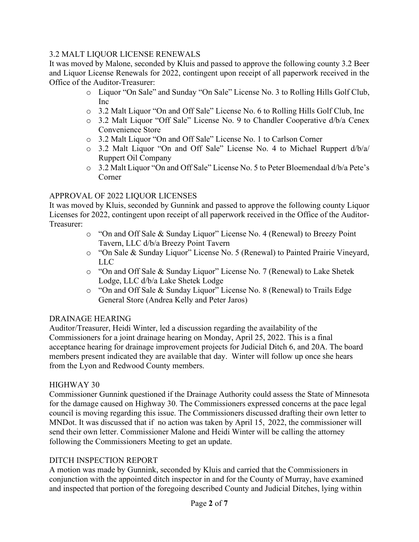## 3.2 MALT LIQUOR LICENSE RENEWALS

It was moved by Malone, seconded by Kluis and passed to approve the following county 3.2 Beer and Liquor License Renewals for 2022, contingent upon receipt of all paperwork received in the Office of the Auditor-Treasurer:

- o Liquor "On Sale" and Sunday "On Sale" License No. 3 to Rolling Hills Golf Club, Inc
- o 3.2 Malt Liquor "On and Off Sale" License No. 6 to Rolling Hills Golf Club, Inc
- o 3.2 Malt Liquor "Off Sale" License No. 9 to Chandler Cooperative d/b/a Cenex Convenience Store
- o 3.2 Malt Liquor "On and Off Sale" License No. 1 to Carlson Corner
- o 3.2 Malt Liquor "On and Off Sale" License No. 4 to Michael Ruppert d/b/a/ Ruppert Oil Company
- o 3.2 Malt Liquor "On and Off Sale" License No. 5 to Peter Bloemendaal d/b/a Pete's Corner

## APPROVAL OF 2022 LIQUOR LICENSES

It was moved by Kluis, seconded by Gunnink and passed to approve the following county Liquor Licenses for 2022, contingent upon receipt of all paperwork received in the Office of the Auditor-Treasurer:

- o "On and Off Sale & Sunday Liquor" License No. 4 (Renewal) to Breezy Point Tavern, LLC d/b/a Breezy Point Tavern
- o "On Sale & Sunday Liquor" License No. 5 (Renewal) to Painted Prairie Vineyard, LLC
- o "On and Off Sale & Sunday Liquor" License No. 7 (Renewal) to Lake Shetek Lodge, LLC d/b/a Lake Shetek Lodge
- o "On and Off Sale & Sunday Liquor" License No. 8 (Renewal) to Trails Edge General Store (Andrea Kelly and Peter Jaros)

# DRAINAGE HEARING

Auditor/Treasurer, Heidi Winter, led a discussion regarding the availability of the Commissioners for a joint drainage hearing on Monday, April 25, 2022. This is a final acceptance hearing for drainage improvement projects for Judicial Ditch 6, and 20A. The board members present indicated they are available that day. Winter will follow up once she hears from the Lyon and Redwood County members.

#### HIGHWAY 30

Commissioner Gunnink questioned if the Drainage Authority could assess the State of Minnesota for the damage caused on Highway 30. The Commissioners expressed concerns at the pace legal council is moving regarding this issue. The Commissioners discussed drafting their own letter to MNDot. It was discussed that if no action was taken by April 15, 2022, the commissioner will send their own letter. Commissioner Malone and Heidi Winter will be calling the attorney following the Commissioners Meeting to get an update.

#### DITCH INSPECTION REPORT

A motion was made by Gunnink, seconded by Kluis and carried that the Commissioners in conjunction with the appointed ditch inspector in and for the County of Murray, have examined and inspected that portion of the foregoing described County and Judicial Ditches, lying within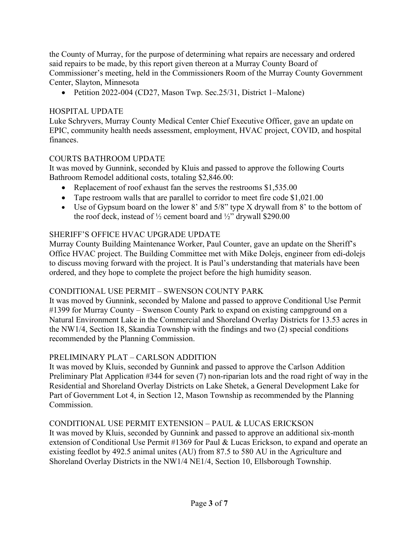the County of Murray, for the purpose of determining what repairs are necessary and ordered said repairs to be made, by this report given thereon at a Murray County Board of Commissioner's meeting, held in the Commissioners Room of the Murray County Government Center, Slayton, Minnesota

• Petition 2022-004 (CD27, Mason Twp. Sec. 25/31, District 1–Malone)

## HOSPITAL UPDATE

Luke Schryvers, Murray County Medical Center Chief Executive Officer, gave an update on EPIC, community health needs assessment, employment, HVAC project, COVID, and hospital finances.

## COURTS BATHROOM UPDATE

It was moved by Gunnink, seconded by Kluis and passed to approve the following Courts Bathroom Remodel additional costs, totaling \$2,846.00:

- Replacement of roof exhaust fan the serves the restrooms \$1,535.00
- Tape restroom walls that are parallel to corridor to meet fire code \$1,021.00
- Use of Gypsum board on the lower 8' and 5/8" type X drywall from 8' to the bottom of the roof deck, instead of  $\frac{1}{2}$  cement board and  $\frac{1}{2}$ " drywall \$290.00

# SHERIFF'S OFFICE HVAC UPGRADE UPDATE

Murray County Building Maintenance Worker, Paul Counter, gave an update on the Sheriff's Office HVAC project. The Building Committee met with Mike Dolejs, engineer from edi-dolejs to discuss moving forward with the project. It is Paul's understanding that materials have been ordered, and they hope to complete the project before the high humidity season.

#### CONDITIONAL USE PERMIT – SWENSON COUNTY PARK

It was moved by Gunnink, seconded by Malone and passed to approve Conditional Use Permit #1399 for Murray County – Swenson County Park to expand on existing campground on a Natural Environment Lake in the Commercial and Shoreland Overlay Districts for 13.53 acres in the NW1/4, Section 18, Skandia Township with the findings and two (2) special conditions recommended by the Planning Commission.

# PRELIMINARY PLAT – CARLSON ADDITION

It was moved by Kluis, seconded by Gunnink and passed to approve the Carlson Addition Preliminary Plat Application #344 for seven (7) non-riparian lots and the road right of way in the Residential and Shoreland Overlay Districts on Lake Shetek, a General Development Lake for Part of Government Lot 4, in Section 12, Mason Township as recommended by the Planning Commission.

#### CONDITIONAL USE PERMIT EXTENSION – PAUL & LUCAS ERICKSON

It was moved by Kluis, seconded by Gunnink and passed to approve an additional six-month extension of Conditional Use Permit #1369 for Paul & Lucas Erickson, to expand and operate an existing feedlot by 492.5 animal unites (AU) from 87.5 to 580 AU in the Agriculture and Shoreland Overlay Districts in the NW1/4 NE1/4, Section 10, Ellsborough Township.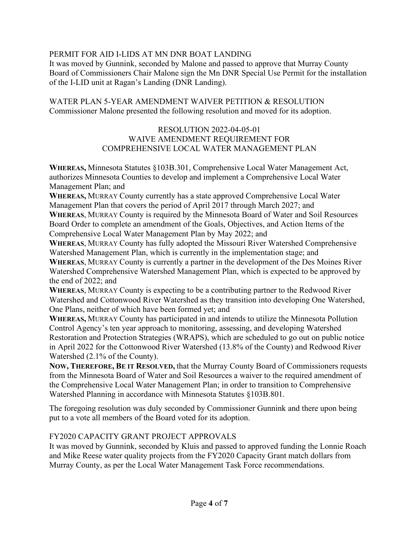## PERMIT FOR AID I-LIDS AT MN DNR BOAT LANDING

It was moved by Gunnink, seconded by Malone and passed to approve that Murray County Board of Commissioners Chair Malone sign the Mn DNR Special Use Permit for the installation of the I-LID unit at Ragan's Landing (DNR Landing).

WATER PLAN 5-YEAR AMENDMENT WAIVER PETITION & RESOLUTION Commissioner Malone presented the following resolution and moved for its adoption.

#### RESOLUTION 2022-04-05-01 WAIVE AMENDMENT REQUIREMENT FOR COMPREHENSIVE LOCAL WATER MANAGEMENT PLAN

**WHEREAS,** Minnesota Statutes §103B.301, Comprehensive Local Water Management Act, authorizes Minnesota Counties to develop and implement a Comprehensive Local Water Management Plan; and

**WHEREAS,** MURRAY County currently has a state approved Comprehensive Local Water Management Plan that covers the period of April 2017 through March 2027; and

**WHEREAS**, MURRAY County is required by the Minnesota Board of Water and Soil Resources Board Order to complete an amendment of the Goals, Objectives, and Action Items of the Comprehensive Local Water Management Plan by May 2022; and

**WHEREAS**, MURRAY County has fully adopted the Missouri River Watershed Comprehensive Watershed Management Plan, which is currently in the implementation stage; and

**WHEREAS**, MURRAY County is currently a partner in the development of the Des Moines River Watershed Comprehensive Watershed Management Plan, which is expected to be approved by the end of 2022; and

**WHEREAS**, MURRAY County is expecting to be a contributing partner to the Redwood River Watershed and Cottonwood River Watershed as they transition into developing One Watershed, One Plans, neither of which have been formed yet; and

**WHEREAS,** MURRAY County has participated in and intends to utilize the Minnesota Pollution Control Agency's ten year approach to monitoring, assessing, and developing Watershed Restoration and Protection Strategies (WRAPS), which are scheduled to go out on public notice in April 2022 for the Cottonwood River Watershed (13.8% of the County) and Redwood River Watershed (2.1% of the County).

**NOW, THEREFORE, BE IT RESOLVED,** that the Murray County Board of Commissioners requests from the Minnesota Board of Water and Soil Resources a waiver to the required amendment of the Comprehensive Local Water Management Plan; in order to transition to Comprehensive Watershed Planning in accordance with Minnesota Statutes §103B.801.

The foregoing resolution was duly seconded by Commissioner Gunnink and there upon being put to a vote all members of the Board voted for its adoption.

# FY2020 CAPACITY GRANT PROJECT APPROVALS

It was moved by Gunnink, seconded by Kluis and passed to approved funding the Lonnie Roach and Mike Reese water quality projects from the FY2020 Capacity Grant match dollars from Murray County, as per the Local Water Management Task Force recommendations.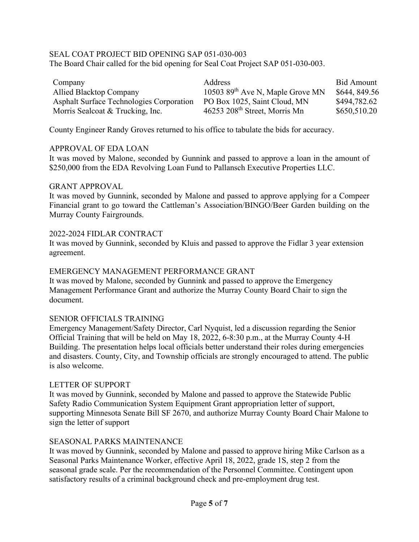# SEAL COAT PROJECT BID OPENING SAP 051-030-003

The Board Chair called for the bid opening for Seal Coat Project SAP 051-030-003.

| Company                                  | Address                                      | Bid Amount    |
|------------------------------------------|----------------------------------------------|---------------|
| Allied Blacktop Company                  | 10503 89 <sup>th</sup> Ave N, Maple Grove MN | \$644, 849.56 |
| Asphalt Surface Technologies Corporation | PO Box 1025, Saint Cloud, MN                 | \$494,782.62  |
| Morris Sealcoat & Trucking, Inc.         | 46253 208 <sup>th</sup> Street, Morris Mn    | \$650,510.20  |

County Engineer Randy Groves returned to his office to tabulate the bids for accuracy.

## APPROVAL OF EDA LOAN

It was moved by Malone, seconded by Gunnink and passed to approve a loan in the amount of \$250,000 from the EDA Revolving Loan Fund to Pallansch Executive Properties LLC.

## GRANT APPROVAL

It was moved by Gunnink, seconded by Malone and passed to approve applying for a Compeer Financial grant to go toward the Cattleman's Association/BINGO/Beer Garden building on the Murray County Fairgrounds.

# 2022-2024 FIDLAR CONTRACT

It was moved by Gunnink, seconded by Kluis and passed to approve the Fidlar 3 year extension agreement.

## EMERGENCY MANAGEMENT PERFORMANCE GRANT

It was moved by Malone, seconded by Gunnink and passed to approve the Emergency Management Performance Grant and authorize the Murray County Board Chair to sign the document.

# SENIOR OFFICIALS TRAINING

Emergency Management/Safety Director, Carl Nyquist, led a discussion regarding the Senior Official Training that will be held on May 18, 2022, 6-8:30 p.m., at the Murray County 4-H Building. The presentation helps local officials better understand their roles during emergencies and disasters. County, City, and Township officials are strongly encouraged to attend. The public is also welcome.

#### LETTER OF SUPPORT

It was moved by Gunnink, seconded by Malone and passed to approve the Statewide Public Safety Radio Communication System Equipment Grant appropriation letter of support, supporting Minnesota Senate Bill SF 2670, and authorize Murray County Board Chair Malone to sign the letter of support

# SEASONAL PARKS MAINTENANCE

It was moved by Gunnink, seconded by Malone and passed to approve hiring Mike Carlson as a Seasonal Parks Maintenance Worker, effective April 18, 2022, grade 1S, step 2 from the seasonal grade scale. Per the recommendation of the Personnel Committee. Contingent upon satisfactory results of a criminal background check and pre-employment drug test.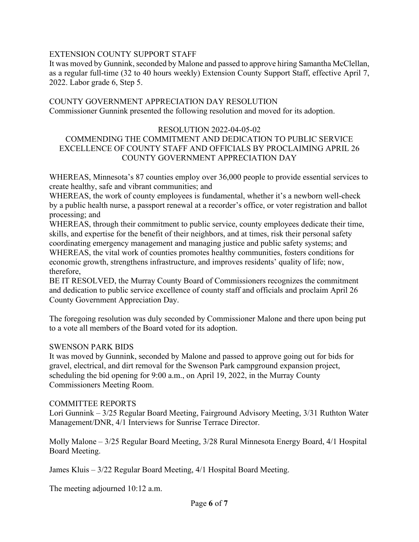#### EXTENSION COUNTY SUPPORT STAFF

It was moved by Gunnink, seconded by Malone and passed to approve hiring Samantha McClellan, as a regular full-time (32 to 40 hours weekly) Extension County Support Staff, effective April 7, 2022. Labor grade 6, Step 5.

COUNTY GOVERNMENT APPRECIATION DAY RESOLUTION Commissioner Gunnink presented the following resolution and moved for its adoption.

#### RESOLUTION 2022-04-05-02 COMMENDING THE COMMITMENT AND DEDICATION TO PUBLIC SERVICE EXCELLENCE OF COUNTY STAFF AND OFFICIALS BY PROCLAIMING APRIL 26 COUNTY GOVERNMENT APPRECIATION DAY

WHEREAS, Minnesota's 87 counties employ over 36,000 people to provide essential services to create healthy, safe and vibrant communities; and

WHEREAS, the work of county employees is fundamental, whether it's a newborn well-check by a public health nurse, a passport renewal at a recorder's office, or voter registration and ballot processing; and

WHEREAS, through their commitment to public service, county employees dedicate their time, skills, and expertise for the benefit of their neighbors, and at times, risk their personal safety coordinating emergency management and managing justice and public safety systems; and WHEREAS, the vital work of counties promotes healthy communities, fosters conditions for economic growth, strengthens infrastructure, and improves residents' quality of life; now, therefore,

BE IT RESOLVED, the Murray County Board of Commissioners recognizes the commitment and dedication to public service excellence of county staff and officials and proclaim April 26 County Government Appreciation Day.

The foregoing resolution was duly seconded by Commissioner Malone and there upon being put to a vote all members of the Board voted for its adoption.

#### SWENSON PARK BIDS

It was moved by Gunnink, seconded by Malone and passed to approve going out for bids for gravel, electrical, and dirt removal for the Swenson Park campground expansion project, scheduling the bid opening for 9:00 a.m., on April 19, 2022, in the Murray County Commissioners Meeting Room.

#### COMMITTEE REPORTS

Lori Gunnink – 3/25 Regular Board Meeting, Fairground Advisory Meeting, 3/31 Ruthton Water Management/DNR, 4/1 Interviews for Sunrise Terrace Director.

Molly Malone – 3/25 Regular Board Meeting, 3/28 Rural Minnesota Energy Board, 4/1 Hospital Board Meeting.

James Kluis – 3/22 Regular Board Meeting, 4/1 Hospital Board Meeting.

The meeting adjourned 10:12 a.m.